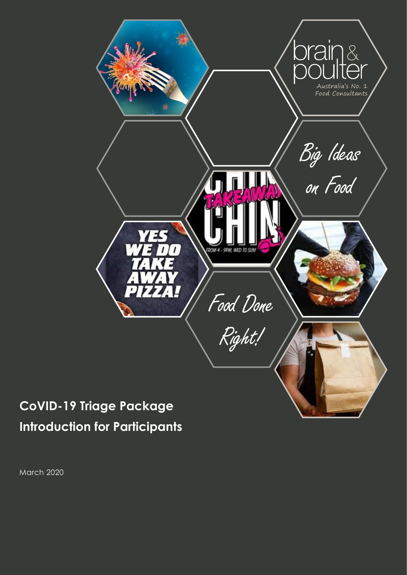

# **CoVID-19 Triage Package Introduction for Participants**

March 2020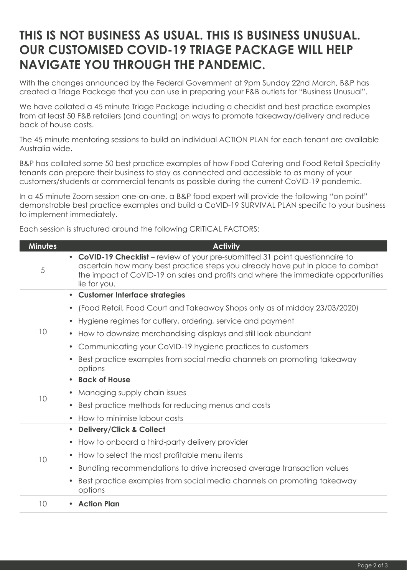# **THIS IS NOT BUSINESS AS USUAL. THIS IS BUSINESS UNUSUAL. OUR CUSTOMISED COVID-19 TRIAGE PACKAGE WILL HELP NAVIGATE YOU THROUGH THE PANDEMIC.**

With the changes announced by the Federal Government at 9pm Sunday 22nd March, B&P has created a Triage Package that you can use in preparing your F&B outlets for "Business Unusual".

We have collated a 45 minute Triage Package including a checklist and best practice examples from at least 50 F&B retailers (and counting) on ways to promote takeaway/delivery and reduce back of house costs.

The 45 minute mentoring sessions to build an individual ACTION PLAN for each tenant are available Australia wide.

B&P has collated some 50 best practice examples of how Food Catering and Food Retail Speciality tenants can prepare their business to stay as connected and accessible to as many of your customers/students or commercial tenants as possible during the current CoVID-19 pandemic.

In a 45 minute Zoom session one-on-one, a B&P food expert will provide the following "on point" demonstrable best practice examples and build a CoVID-19 SURVIVAL PLAN specific to your business to implement immediately.

Each session is structured around the following CRITICAL FACTORS:

| <b>Minutes</b> | <b>Activity</b>                                                                                                                                                                                                                                                      |
|----------------|----------------------------------------------------------------------------------------------------------------------------------------------------------------------------------------------------------------------------------------------------------------------|
| 5              | • CoVID-19 Checklist - review of your pre-submitted 31 point questionnaire to<br>ascertain how many best practice steps you already have put in place to combat<br>the impact of CoVID-19 on sales and profits and where the immediate opportunities<br>lie for you. |
| 10             | • Customer Interface strategies                                                                                                                                                                                                                                      |
|                | (Food Retail, Food Court and Takeaway Shops only as of midday 23/03/2020)                                                                                                                                                                                            |
|                | Hygiene regimes for cutlery, ordering, service and payment<br>$\bullet$                                                                                                                                                                                              |
|                | How to downsize merchandising displays and still look abundant<br>$\bullet$                                                                                                                                                                                          |
|                | Communicating your CoVID-19 hygiene practices to customers<br>$\bullet$                                                                                                                                                                                              |
|                | Best practice examples from social media channels on promoting takeaway<br>options                                                                                                                                                                                   |
| 10             | <b>Back of House</b><br>$\bullet$                                                                                                                                                                                                                                    |
|                | Managing supply chain issues<br>$\bullet$                                                                                                                                                                                                                            |
|                | Best practice methods for reducing menus and costs                                                                                                                                                                                                                   |
|                | How to minimise labour costs                                                                                                                                                                                                                                         |
| 10             | <b>Delivery/Click &amp; Collect</b><br>$\bullet$                                                                                                                                                                                                                     |
|                | How to onboard a third-party delivery provider                                                                                                                                                                                                                       |
|                | How to select the most profitable menu items<br>$\bullet$                                                                                                                                                                                                            |
|                | Bundling recommendations to drive increased average transaction values<br>$\bullet$                                                                                                                                                                                  |
|                | Best practice examples from social media channels on promoting takeaway<br>options                                                                                                                                                                                   |
| 10             | <b>Action Plan</b>                                                                                                                                                                                                                                                   |